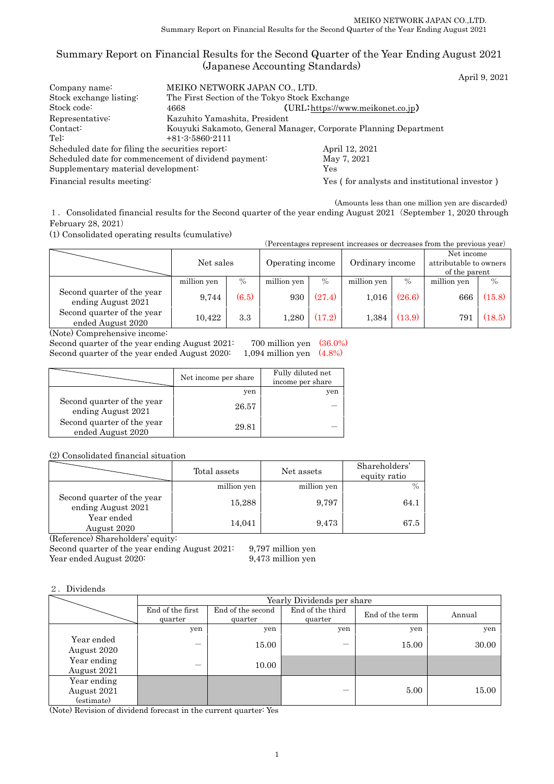# Summary Report on Financial Results for the Second Quarter of the Year Ending August 2021 (Japanese Accounting Standards)

April 9, 2021

| Company name:                                        | MEIKO NETWORK JAPAN CO., LTD.                                    |                                               |  |  |  |
|------------------------------------------------------|------------------------------------------------------------------|-----------------------------------------------|--|--|--|
| Stock exchange listing:                              | The First Section of the Tokyo Stock Exchange                    |                                               |  |  |  |
| Stock code:                                          | (URL:https://www.meikonet.co.jp)<br>4668                         |                                               |  |  |  |
| Representative:                                      | Kazuhito Yamashita, President                                    |                                               |  |  |  |
| Contact:                                             | Kouyuki Sakamoto, General Manager, Corporate Planning Department |                                               |  |  |  |
| Tel:                                                 | $+81-3-5860-2111$                                                |                                               |  |  |  |
| Scheduled date for filing the securities report:     |                                                                  | April 12, 2021                                |  |  |  |
| Scheduled date for commencement of dividend payment: |                                                                  | May 7, 2021                                   |  |  |  |
| Supplementary material development:                  |                                                                  | Yes                                           |  |  |  |
| Financial results meeting:                           |                                                                  | Yes (for analysts and institutional investor) |  |  |  |

(Amounts less than one million yen are discarded)

1.Consolidated financial results for the Second quarter of the year ending August 2021(September 1, 2020 through February 28, 2021)

(1) Consolidated operating results (cumulative)

| (Percentages represent increases or decreases from the previous year) |             |       |                  |               |                 |        |                                                       |               |
|-----------------------------------------------------------------------|-------------|-------|------------------|---------------|-----------------|--------|-------------------------------------------------------|---------------|
|                                                                       | Net sales   |       | Operating income |               | Ordinary income |        | Net income<br>attributable to owners<br>of the parent |               |
|                                                                       | million yen | $\%$  | million yen      | $\frac{0}{0}$ | million yen     | $\%$   | million yen                                           | $\frac{0}{0}$ |
| Second quarter of the year<br>ending August 2021                      | 9,744       | (6.5) | 930              | (27.4)        | 1,016           | (26.6) | 666                                                   | (15.8)        |
| Second quarter of the year<br>ended August 2020                       | 10,422      | 3.3   | 1.280            | (17.2)        | 1.384           | (13.9) | 791                                                   | (18.5)        |

(Note) Comprehensive income:

Second quarter of the year ending August 2021: 700 million yen (36.0%)<br>Second quarter of the year ended August 2020: 1,094 million yen (4.8%) Second quarter of the year ended August 2020:

|                                                  | Net income per share | Fully diluted net<br>income per share |
|--------------------------------------------------|----------------------|---------------------------------------|
|                                                  | yen                  | yen                                   |
| Second quarter of the year<br>ending August 2021 | 26.57                |                                       |
| Second quarter of the year<br>ended August 2020  | 29.81                |                                       |

(2) Consolidated financial situation

|                                                  | Total assets | Net assets  | Shareholders'<br>equity ratio |
|--------------------------------------------------|--------------|-------------|-------------------------------|
|                                                  | million yen  | million yen |                               |
| Second quarter of the year<br>ending August 2021 | 15,288       | 9,797       | 64.1                          |
| Year ended<br>August 2020                        | 14,041       | 9,473       | 67.5                          |

(Reference) Shareholders' equity:

Second quarter of the year ending August 2021: 9,797 million yen

Year ended August 2020: 9,473 million yen

2.Dividends

|                                          | Yearly Dividends per share  |                              |                             |                 |        |  |
|------------------------------------------|-----------------------------|------------------------------|-----------------------------|-----------------|--------|--|
|                                          | End of the first<br>quarter | End of the second<br>quarter | End of the third<br>quarter | End of the term | Annual |  |
|                                          | yen                         | yen                          | yen                         | yen             | yen    |  |
| Year ended<br>August 2020                |                             | 15.00                        |                             | 15.00           | 30.00  |  |
| Year ending<br>August 2021               |                             | 10.00                        |                             |                 |        |  |
| Year ending<br>August 2021<br>(estimate) |                             |                              |                             | 5.00            | 15.00  |  |

(Note) Revision of dividend forecast in the current quarter: Yes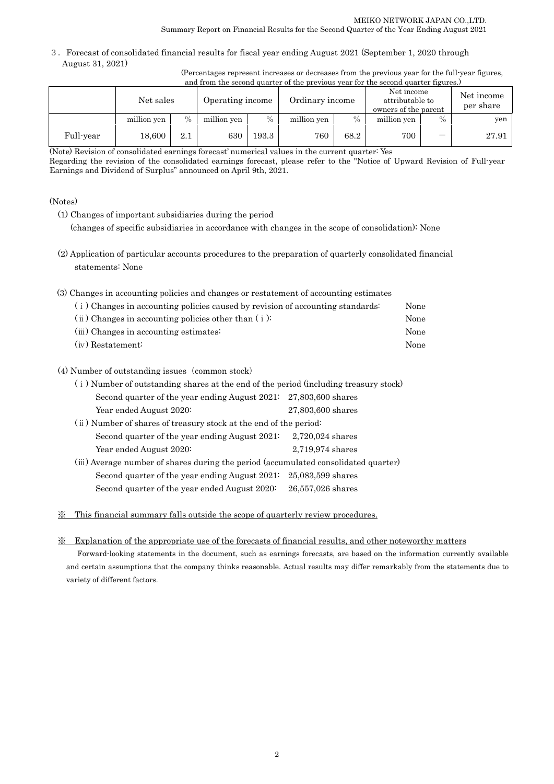3.Forecast of consolidated financial results for fiscal year ending August 2021 (September 1, 2020 through August 31, 2021)

> (Percentages represent increases or decreases from the previous year for the full-year figures, and from the second quarter of the previous year for the second quarter figures.)

|           | Net sales   |               | Operating income | Net income<br>Ordinary income<br>attributable to<br>owners of the parent |             |      |             | Net income<br>per share  |       |
|-----------|-------------|---------------|------------------|--------------------------------------------------------------------------|-------------|------|-------------|--------------------------|-------|
|           | million yen | $\frac{0}{0}$ | million yen      | $\%$                                                                     | million yen | $\%$ | million yen | $\%$                     | yen   |
| Full-year | 18.600      | 2.1           | 630              | 193.3                                                                    | 760         | 68.2 | 700         | $\overline{\phantom{0}}$ | 27.91 |

(Note) Revision of consolidated earnings forecast' numerical values in the current quarter: Yes

Regarding the revision of the consolidated earnings forecast, please refer to the "Notice of Upward Revision of Full-year Earnings and Dividend of Surplus" announced on April 9th, 2021.

### (Notes)

(1) Changes of important subsidiaries during the period

(changes of specific subsidiaries in accordance with changes in the scope of consolidation): None

- (2) Application of particular accounts procedures to the preparation of quarterly consolidated financial statements: None
- (3) Changes in accounting policies and changes or restatement of accounting estimates

| (i) Changes in accounting policies caused by revision of accounting standards: | None |
|--------------------------------------------------------------------------------|------|
| $(i)$ Changes in accounting policies other than $(i)$ :                        | None |
| (iii) Changes in accounting estimates:                                         | None |
| $(iv)$ Restatement:                                                            | None |

### (4) Number of outstanding issues (common stock)

| (i) Number of outstanding shares at the end of the period (including treasury stock) |                   |
|--------------------------------------------------------------------------------------|-------------------|
| Second quarter of the year ending August $2021: 27,803,600$ shares                   |                   |
| Year ended August 2020:                                                              | 27,803,600 shares |
| (ii) Number of shares of treasury stock at the end of the period:                    |                   |
| Second quarter of the year ending August 2021:                                       | 2,720,024 shares  |
| Year ended August 2020:                                                              | 2,719,974 shares  |
| (iii) Average number of shares during the period (accumulated consolidated quarter)  |                   |
| Second quarter of the year ending August 2021:                                       | 25,083,599 shares |
| Second quarter of the year ended August 2020:                                        | 26,557,026 shares |

※ This financial summary falls outside the scope of quarterly review procedures.

### ※ Explanation of the appropriate use of the forecasts of financial results, and other noteworthy matters

Forward-looking statements in the document, such as earnings forecasts, are based on the information currently available and certain assumptions that the company thinks reasonable. Actual results may differ remarkably from the statements due to variety of different factors.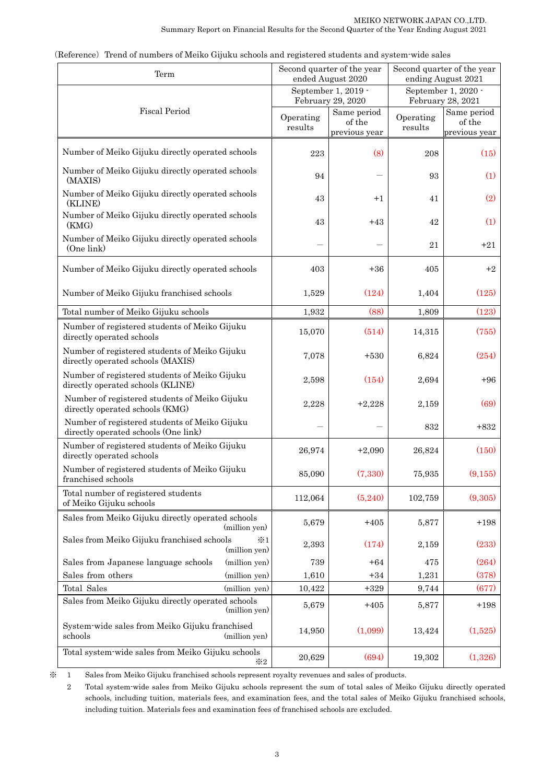| Term                                                                                  |                      | Second quarter of the year<br>ended August 2020 |                      | Second quarter of the year<br>ending August 2021 |  |  |
|---------------------------------------------------------------------------------------|----------------------|-------------------------------------------------|----------------------|--------------------------------------------------|--|--|
|                                                                                       |                      | September 1, 2019 -<br>February 29, 2020        |                      | September 1, 2020 -<br>February 28, 2021         |  |  |
| <b>Fiscal Period</b>                                                                  | Operating<br>results | Same period<br>of the<br>previous year          | Operating<br>results | Same period<br>of the<br>previous year           |  |  |
| Number of Meiko Gijuku directly operated schools                                      | 223                  | (8)                                             | 208                  | (15)                                             |  |  |
| Number of Meiko Gijuku directly operated schools<br>(MAXIS)                           | 94                   |                                                 | 93                   | (1)                                              |  |  |
| Number of Meiko Gijuku directly operated schools<br>(KLINE)                           | 43                   | $+1$                                            | 41                   | (2)                                              |  |  |
| Number of Meiko Gijuku directly operated schools<br>(KMG)                             | 43                   | $+43$                                           | 42                   | (1)                                              |  |  |
| Number of Meiko Gijuku directly operated schools<br>(One link)                        |                      |                                                 | 21                   | $+21$                                            |  |  |
| Number of Meiko Gijuku directly operated schools                                      | 403                  | $+36$                                           | 405                  | $+2$                                             |  |  |
| Number of Meiko Gijuku franchised schools                                             | 1,529                | (124)                                           | 1,404                | (125)                                            |  |  |
| Total number of Meiko Gijuku schools                                                  | 1,932                | (88)                                            | 1,809                | (123)                                            |  |  |
| Number of registered students of Meiko Gijuku<br>directly operated schools            | 15,070               | (514)                                           | 14,315               | (755)                                            |  |  |
| Number of registered students of Meiko Gijuku<br>directly operated schools (MAXIS)    | 7,078                | $+530$                                          | 6,824                | (254)                                            |  |  |
| Number of registered students of Meiko Gijuku<br>directly operated schools (KLINE)    | 2,598                | (154)                                           | 2,694                | $+96$                                            |  |  |
| Number of registered students of Meiko Gijuku<br>directly operated schools (KMG)      | 2,228                | $+2,228$                                        | 2,159                | (69)                                             |  |  |
| Number of registered students of Meiko Gijuku<br>directly operated schools (One link) |                      |                                                 | 832                  | $+832$                                           |  |  |
| Number of registered students of Meiko Gijuku<br>directly operated schools            | 26,974               | $+2,090$                                        | 26,824               | (150)                                            |  |  |
| Number of registered students of Meiko Gijuku<br>franchised schools                   | 85,090               | (7,330)                                         | 75,935               | (9,155)                                          |  |  |
| Total number of registered students<br>of Meiko Gijuku schools                        | 112,064              | (5,240)                                         | 102,759              | (9,305)                                          |  |  |
| Sales from Meiko Gijuku directly operated schools<br>(million yen)                    | 5,679                | $+405$                                          | 5,877                | $+198$                                           |  |  |
| Sales from Meiko Gijuku franchised schools<br>$*1$<br>(million yen)                   | 2,393                | (174)                                           | 2,159                | (233)                                            |  |  |
| Sales from Japanese language schools<br>(million yen)                                 | 739                  | $+64$                                           | 475                  | (264)                                            |  |  |
| Sales from others<br>(million yen)                                                    | 1,610                | $+34$                                           | 1,231                | (378)                                            |  |  |
| Total Sales<br>(million yen)                                                          | 10,422               | $+329$                                          | 9,744                | (677)                                            |  |  |
| Sales from Meiko Gijuku directly operated schools<br>(million yen)                    | 5,679                | $+405$                                          | 5,877                | $+198$                                           |  |  |
| System-wide sales from Meiko Gijuku franchised<br>schools<br>(million yen)            | 14,950               | (1,099)                                         | 13,424               | (1,525)                                          |  |  |
| Total system-wide sales from Meiko Gijuku schools<br>$*2$                             | 20,629               | (694)                                           | 19,302               | (1,326)                                          |  |  |

(Reference) Trend of numbers of Meiko Gijuku schools and registered students and system-wide sales

 $\,1\,$ ※ 1 Sales from Meiko Gijuku franchised schools represent royalty revenues and sales of products.

2 Total system-wide sales from Meiko Gijuku schools represent the sum of total sales of Meiko Gijuku directly operated schools, including tuition, materials fees, and examination fees, and the total sales of Meiko Gijuku franchised schools, including tuition. Materials fees and examination fees of franchised schools are excluded.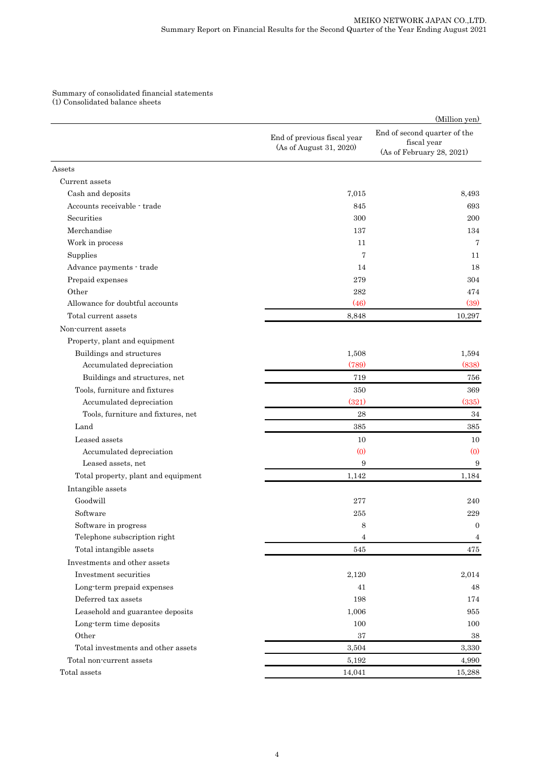Summary of consolidated financial statements (1) Consolidated balance sheets

|                                        |                                                        | (Million yen)                                                            |
|----------------------------------------|--------------------------------------------------------|--------------------------------------------------------------------------|
|                                        | End of previous fiscal year<br>(As of August 31, 2020) | End of second quarter of the<br>fiscal year<br>(As of February 28, 2021) |
| Assets                                 |                                                        |                                                                          |
| Current assets                         |                                                        |                                                                          |
| Cash and deposits                      | 7,015                                                  | 8,493                                                                    |
| Accounts receivable - trade            | 845                                                    | 693                                                                      |
| Securities                             | 300                                                    | 200                                                                      |
| Merchandise                            | 137                                                    | 134                                                                      |
| Work in process                        | 11                                                     | 7                                                                        |
| Supplies                               | 7                                                      | 11                                                                       |
| Advance payments - trade               | 14                                                     | 18                                                                       |
| Prepaid expenses                       | 279                                                    | 304                                                                      |
| Other                                  | 282                                                    | 474                                                                      |
| Allowance for doubtful accounts        | (46)                                                   | (39)                                                                     |
| Total current assets                   | 8,848                                                  | 10,297                                                                   |
| Non-current assets                     |                                                        |                                                                          |
| Property, plant and equipment          |                                                        |                                                                          |
| Buildings and structures               | 1,508                                                  | 1,594                                                                    |
| Accumulated depreciation               | (789)                                                  | (838)                                                                    |
| Buildings and structures, net          | 719                                                    | 756                                                                      |
| Tools, furniture and fixtures          | 350                                                    | 369                                                                      |
| Accumulated depreciation               | (321)                                                  | (335)                                                                    |
| Tools, furniture and fixtures, net     | 28                                                     | $34\,$                                                                   |
| Land                                   | 385                                                    | 385                                                                      |
| Leased assets                          | 10                                                     | 10                                                                       |
| Accumulated depreciation               | $\left( 0 \right)$                                     | (0)                                                                      |
| Leased assets, net                     | 9                                                      | 9                                                                        |
| Total property, plant and equipment    | 1,142                                                  | 1,184                                                                    |
| Intangible assets                      |                                                        |                                                                          |
| Goodwill                               | 277                                                    | 240                                                                      |
| Software                               | 255                                                    | 229                                                                      |
| Software in progress                   | 8                                                      | $\overline{0}$                                                           |
| Telephone subscription right           | 4                                                      | $\overline{4}$                                                           |
| Total intangible assets                | 545                                                    | 475                                                                      |
| Investments and other assets           |                                                        |                                                                          |
| Investment securities                  | 2,120                                                  | 2,014                                                                    |
| Long-term prepaid expenses             | 41                                                     | 48                                                                       |
| Deferred tax assets                    | 198                                                    | 174                                                                      |
| Leasehold and guarantee deposits       | 1,006                                                  | 955                                                                      |
| Long-term time deposits                | 100                                                    | 100                                                                      |
| Other                                  | 37                                                     | 38                                                                       |
| Total investments and other assets     | 3,504                                                  | 3,330                                                                    |
| Total non-current assets               | 5,192                                                  | 4,990                                                                    |
| $\operatorname{\mathsf{Total}}$ assets | 14,041                                                 | 15,288                                                                   |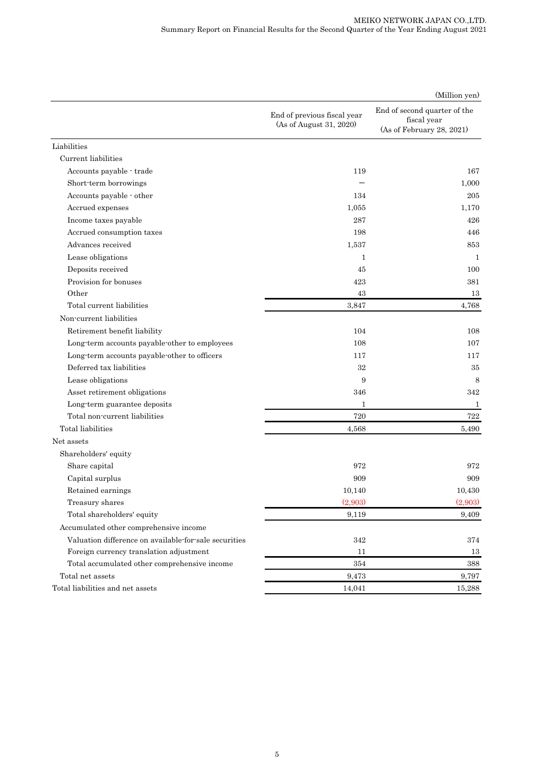#### MEIKO NETWORK JAPAN CO.,LTD. Summary Report on Financial Results for the Second Quarter of the Year Ending August 2021

|                                                       |                                                        | (Million yen)                                                            |
|-------------------------------------------------------|--------------------------------------------------------|--------------------------------------------------------------------------|
|                                                       | End of previous fiscal year<br>(As of August 31, 2020) | End of second quarter of the<br>fiscal year<br>(As of February 28, 2021) |
| Liabilities                                           |                                                        |                                                                          |
| Current liabilities                                   |                                                        |                                                                          |
| Accounts payable - trade                              | 119                                                    | 167                                                                      |
| Short term borrowings                                 |                                                        | 1,000                                                                    |
| Accounts payable - other                              | 134                                                    | 205                                                                      |
| Accrued expenses                                      | 1.055                                                  | 1,170                                                                    |
| Income taxes payable                                  | 287                                                    | 426                                                                      |
| Accrued consumption taxes                             | 198                                                    | 446                                                                      |
| Advances received                                     | 1,537                                                  | 853                                                                      |
| Lease obligations                                     | $\mathbf{1}$                                           | 1                                                                        |
| Deposits received                                     | 45                                                     | 100                                                                      |
| Provision for bonuses                                 | 423                                                    | 381                                                                      |
| Other                                                 | 43                                                     | 13                                                                       |
| Total current liabilities                             | 3,847                                                  | 4,768                                                                    |
| Non-current liabilities                               |                                                        |                                                                          |
| Retirement benefit liability                          | 104                                                    | 108                                                                      |
| Long-term accounts payable-other to employees         | 108                                                    | 107                                                                      |
| Long-term accounts payable-other to officers          | 117                                                    | 117                                                                      |
| Deferred tax liabilities                              | 32                                                     | 35                                                                       |
| Lease obligations                                     | 9                                                      | $\,8\,$                                                                  |
| Asset retirement obligations                          | 346                                                    | 342                                                                      |
| Long-term guarantee deposits                          | $\mathbf{1}$                                           | 1                                                                        |
| Total non-current liabilities                         | 720                                                    | 722                                                                      |
| Total liabilities                                     | 4,568                                                  | 5,490                                                                    |
| Net assets                                            |                                                        |                                                                          |
| Shareholders' equity                                  |                                                        |                                                                          |
| Share capital                                         | 972                                                    | 972                                                                      |
| Capital surplus                                       | 909                                                    | 909                                                                      |
| Retained earnings                                     | 10,140                                                 | 10,430                                                                   |
| Treasury shares                                       | (2,903)                                                | (2,903)                                                                  |
| Total shareholders' equity                            | 9,119                                                  | 9,409                                                                    |
| Accumulated other comprehensive income                |                                                        |                                                                          |
| Valuation difference on available for sale securities | 342                                                    | 374                                                                      |
| Foreign currency translation adjustment               | 11                                                     | 13                                                                       |
| Total accumulated other comprehensive income          | 354                                                    | 388                                                                      |
| Total net assets                                      | 9,473                                                  | 9,797                                                                    |
| Total liabilities and net assets                      | 14,041                                                 | 15,288                                                                   |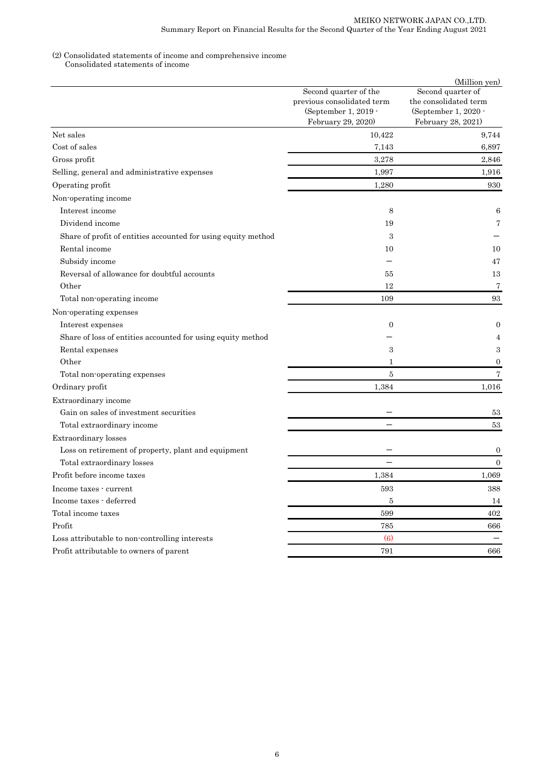#### (2) Consolidated statements of income and comprehensive income

Consolidated statements of income

|                                                               | Second quarter of the<br>previous consolidated term<br>(September 1, 2019 -<br>February 29, 2020) | (Million yen)<br>Second quarter of<br>the consolidated term<br>(September 1, 2020 -<br>February 28, 2021) |
|---------------------------------------------------------------|---------------------------------------------------------------------------------------------------|-----------------------------------------------------------------------------------------------------------|
| Net sales                                                     | 10,422                                                                                            | 9.744                                                                                                     |
| Cost of sales                                                 | 7.143                                                                                             | 6,897                                                                                                     |
| Gross profit                                                  | 3,278                                                                                             | 2,846                                                                                                     |
| Selling, general and administrative expenses                  | 1,997                                                                                             | 1,916                                                                                                     |
| Operating profit                                              | 1,280                                                                                             | 930                                                                                                       |
| Non-operating income                                          |                                                                                                   |                                                                                                           |
| Interest income                                               | 8                                                                                                 | 6                                                                                                         |
| Dividend income                                               | 19                                                                                                | 7                                                                                                         |
| Share of profit of entities accounted for using equity method | 3                                                                                                 |                                                                                                           |
| Rental income                                                 | 10                                                                                                | 10                                                                                                        |
| Subsidy income                                                |                                                                                                   | 47                                                                                                        |
| Reversal of allowance for doubtful accounts                   | 55                                                                                                | 13                                                                                                        |
| Other                                                         | 12                                                                                                | $\overline{7}$                                                                                            |
| Total non-operating income                                    | 109                                                                                               | 93                                                                                                        |
| Non-operating expenses                                        |                                                                                                   |                                                                                                           |
| Interest expenses                                             | $\mathbf{0}$                                                                                      | $\overline{0}$                                                                                            |
| Share of loss of entities accounted for using equity method   |                                                                                                   | $\overline{4}$                                                                                            |
| Rental expenses                                               | 3                                                                                                 | 3                                                                                                         |
| Other                                                         | $\mathbf{1}$                                                                                      | $\theta$                                                                                                  |
| Total non-operating expenses                                  | $\bf 5$                                                                                           | $\scriptstyle{7}$                                                                                         |
| Ordinary profit                                               | 1,384                                                                                             | 1,016                                                                                                     |
| Extraordinary income                                          |                                                                                                   |                                                                                                           |
| Gain on sales of investment securities                        |                                                                                                   | 53                                                                                                        |
| Total extraordinary income                                    |                                                                                                   | 53                                                                                                        |
| Extraordinary losses                                          |                                                                                                   |                                                                                                           |
| Loss on retirement of property, plant and equipment           |                                                                                                   | $\boldsymbol{0}$                                                                                          |
| Total extraordinary losses                                    |                                                                                                   | $\mathbf{0}$                                                                                              |
| Profit before income taxes                                    | 1,384                                                                                             | 1,069                                                                                                     |
| Income taxes - current                                        | 593                                                                                               | 388                                                                                                       |
| Income taxes - deferred                                       | 5                                                                                                 | 14                                                                                                        |
| Total income taxes                                            | 599                                                                                               | 402                                                                                                       |
| Profit                                                        | 785                                                                                               | 666                                                                                                       |
| Loss attributable to non-controlling interests                | (6)                                                                                               |                                                                                                           |
| Profit attributable to owners of parent                       | 791                                                                                               | 666                                                                                                       |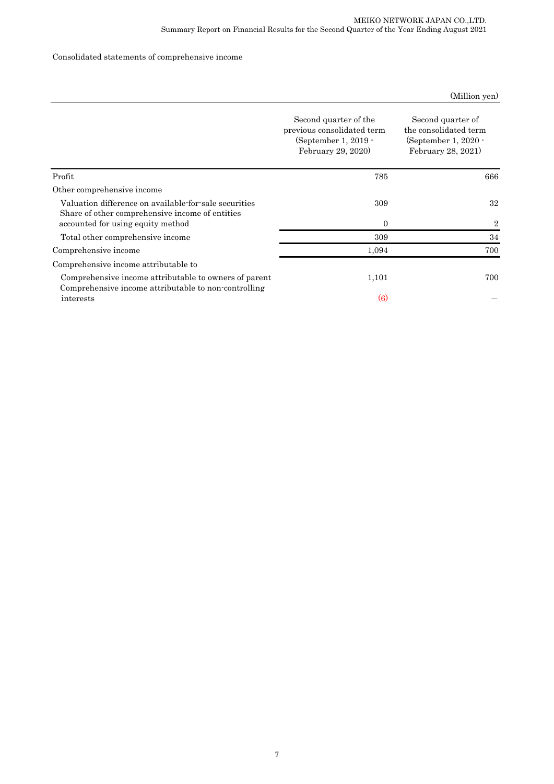## Consolidated statements of comprehensive income

|  | (Million yen) |
|--|---------------|
|  |               |

|                                                                                                               | Second quarter of the<br>previous consolidated term<br>(September 1, 2019 -<br>February 29, 2020) | Second quarter of<br>the consolidated term<br>(September 1, $2020 -$<br>February 28, 2021) |
|---------------------------------------------------------------------------------------------------------------|---------------------------------------------------------------------------------------------------|--------------------------------------------------------------------------------------------|
| Profit                                                                                                        | 785                                                                                               | 666                                                                                        |
| Other comprehensive income                                                                                    |                                                                                                   |                                                                                            |
| Valuation difference on available for sale securities<br>Share of other comprehensive income of entities      | 309                                                                                               | 32                                                                                         |
| accounted for using equity method                                                                             | $\theta$                                                                                          | 2                                                                                          |
| Total other comprehensive income                                                                              | 309                                                                                               | 34                                                                                         |
| Comprehensive income                                                                                          | 1,094                                                                                             | 700                                                                                        |
| Comprehensive income attributable to                                                                          |                                                                                                   |                                                                                            |
| Comprehensive income attributable to owners of parent<br>Comprehensive income attributable to non-controlling | 1,101                                                                                             | 700                                                                                        |
| interests                                                                                                     | $\left(6\right)$                                                                                  |                                                                                            |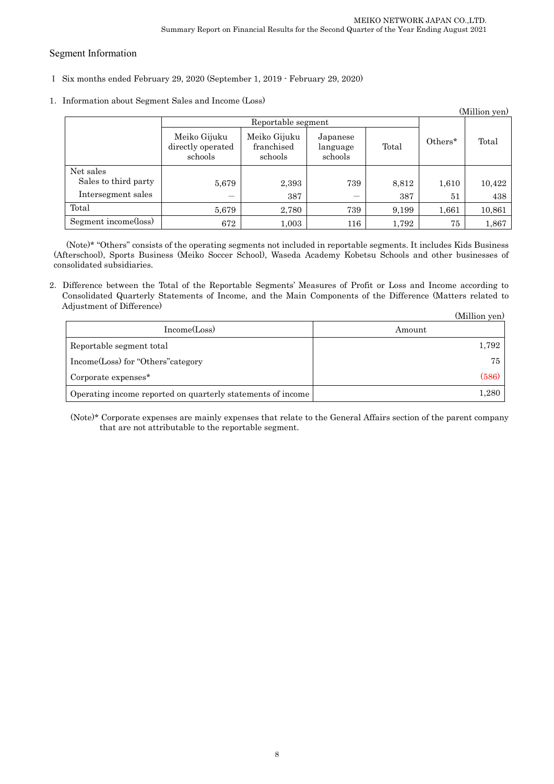## Segment Information

- Ⅰ Six months ended February 29, 2020 (September 1, 2019 February 29, 2020)
- 1.Information about Segment Sales and Income (Loss)

|                      |                                              |                                       |                                 |       |         | (Million yen) |
|----------------------|----------------------------------------------|---------------------------------------|---------------------------------|-------|---------|---------------|
|                      |                                              | Reportable segment                    |                                 |       |         |               |
|                      | Meiko Gijuku<br>directly operated<br>schools | Meiko Gijuku<br>franchised<br>schools | Japanese<br>language<br>schools | Total | Others* | Total         |
| Net sales            |                                              |                                       |                                 |       |         |               |
| Sales to third party | 5,679                                        | 2,393                                 | 739                             | 8,812 | 1,610   | 10,422        |
| Intersegment sales   |                                              | 387                                   |                                 | 387   | 51      | 438           |
| Total                | 5,679                                        | 2,780                                 | 739                             | 9,199 | 1,661   | 10,861        |
| Segment income(loss) | 672                                          | 1,003                                 | 116                             | 1,792 | 75      | 1,867         |

(Note)\* "Others" consists of the operating segments not included in reportable segments. It includes Kids Business (Afterschool), Sports Business (Meiko Soccer School), Waseda Academy Kobetsu Schools and other businesses of consolidated subsidiaries.

2.Difference between the Total of the Reportable Segments' Measures of Profit or Loss and Income according to Consolidated Quarterly Statements of Income, and the Main Components of the Difference (Matters related to Adjustment of Difference)

|                                                             | (Million yen) |
|-------------------------------------------------------------|---------------|
| Income(Loss)                                                | Amount        |
| Reportable segment total                                    | 1,792         |
| Income(Loss) for "Others" category                          | 75            |
| Corporate expenses <sup>*</sup>                             | (586)         |
| Operating income reported on quarterly statements of income | 1,280         |

(Note)\* Corporate expenses are mainly expenses that relate to the General Affairs section of the parent company that are not attributable to the reportable segment.